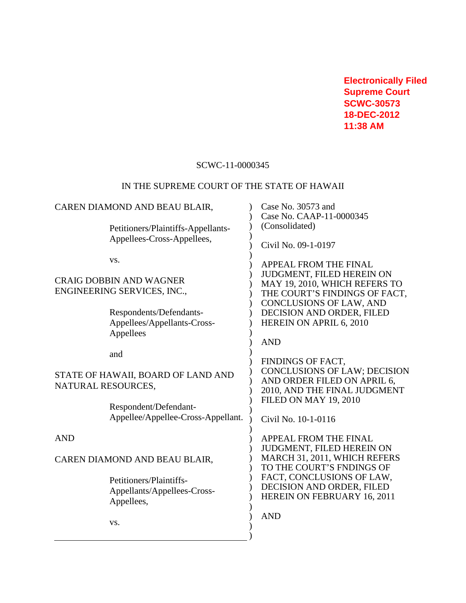**Electronically Filed Supreme Court SCWC-30573 18-DEC-2012 11:38 AM**

# SCWC-11-0000345

# IN THE SUPREME COURT OF THE STATE OF HAWAII

| CAREN DIAMOND AND BEAU BLAIR,                                 |                                                        | Case No. 30573 and<br>Case No. CAAP-11-0000345                                         |
|---------------------------------------------------------------|--------------------------------------------------------|----------------------------------------------------------------------------------------|
|                                                               | Petitioners/Plaintiffs-Appellants-                     | (Consolidated)                                                                         |
|                                                               | Appellees-Cross-Appellees,                             | Civil No. 09-1-0197                                                                    |
|                                                               | VS.                                                    | <b>APPEAL FROM THE FINAL</b><br>JUDGMENT, FILED HEREIN ON                              |
| <b>CRAIG DOBBIN AND WAGNER</b><br>ENGINEERING SERVICES, INC., |                                                        | MAY 19, 2010, WHICH REFERS TO                                                          |
|                                                               |                                                        | THE COURT'S FINDINGS OF FACT,<br>CONCLUSIONS OF LAW, AND                               |
|                                                               | Respondents/Defendants-<br>Appellees/Appellants-Cross- | DECISION AND ORDER, FILED<br>HEREIN ON APRIL 6, 2010                                   |
|                                                               | Appellees                                              |                                                                                        |
|                                                               | and                                                    | <b>AND</b>                                                                             |
|                                                               |                                                        | FINDINGS OF FACT,<br><b>CONCLUSIONS OF LAW; DECISION</b>                               |
| STATE OF HAWAII, BOARD OF LAND AND<br>NATURAL RESOURCES,      |                                                        | AND ORDER FILED ON APRIL 6,<br>2010, AND THE FINAL JUDGMENT                            |
|                                                               | Respondent/Defendant-                                  | <b>FILED ON MAY 19, 2010</b>                                                           |
|                                                               | Appellee/Appellee-Cross-Appellant.                     | Civil No. 10-1-0116                                                                    |
| <b>AND</b>                                                    |                                                        | <b>APPEAL FROM THE FINAL</b>                                                           |
| CAREN DIAMOND AND BEAU BLAIR,                                 |                                                        | JUDGMENT, FILED HEREIN ON<br>MARCH 31, 2011, WHICH REFERS<br>TO THE COURT'S FNDINGS OF |
|                                                               | Petitioners/Plaintiffs-                                | FACT, CONCLUSIONS OF LAW,<br>DECISION AND ORDER, FILED                                 |
|                                                               | Appellants/Appellees-Cross-<br>Appellees,              | HEREIN ON FEBRUARY 16, 2011                                                            |
|                                                               | VS.                                                    | <b>AND</b>                                                                             |
|                                                               |                                                        |                                                                                        |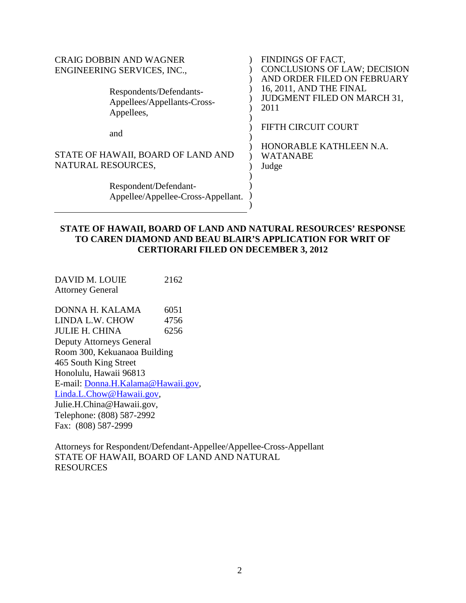| <b>CRAIG DOBBIN AND WAGNER</b><br>ENGINEERING SERVICES, INC.,<br>Respondents/Defendants-<br>Appellees/Appellants-Cross-<br>Appellees, | FINDINGS OF FACT,<br><b>CONCLUSIONS OF LAW; DECISION</b><br>AND ORDER FILED ON FEBRUARY<br>16, 2011, AND THE FINAL<br><b>JUDGMENT FILED ON MARCH 31,</b><br>2011 |
|---------------------------------------------------------------------------------------------------------------------------------------|------------------------------------------------------------------------------------------------------------------------------------------------------------------|
| and                                                                                                                                   | FIFTH CIRCUIT COURT                                                                                                                                              |
| STATE OF HAWAII, BOARD OF LAND AND<br>NATURAL RESOURCES,                                                                              | HONORABLE KATHLEEN N.A.<br><b>WATANABE</b><br>Judge                                                                                                              |
| Respondent/Defendant-<br>Appellee/Appellee-Cross-Appellant.                                                                           |                                                                                                                                                                  |

# **STATE OF HAWAII, BOARD OF LAND AND NATURAL RESOURCES' RESPONSE TO CAREN DIAMOND AND BEAU BLAIR'S APPLICATION FOR WRIT OF CERTIORARI FILED ON DECEMBER 3, 2012**

DAVID M. LOUIE 2162 Attorney General

DONNA H. KALAMA 6051 LINDA L.W. CHOW 4756 JULIE H. CHINA 6256 Deputy Attorneys General Room 300, Kekuanaoa Building 465 South King Street Honolulu, Hawaii 96813 E-mail: [Donna.H.Kalama@Hawaii.gov](mailto:Donna.H.Kalama@Hawaii.gov), [Linda.L.Chow@Hawaii.gov,](mailto:Linda.L.Chow@Hawaii.gov) Julie.H.China@Hawaii.gov, Telephone: (808) 587-2992 Fax: (808) 587-2999

Attorneys for Respondent/Defendant-Appellee/Appellee-Cross-Appellant STATE OF HAWAII, BOARD OF LAND AND NATURAL RESOURCES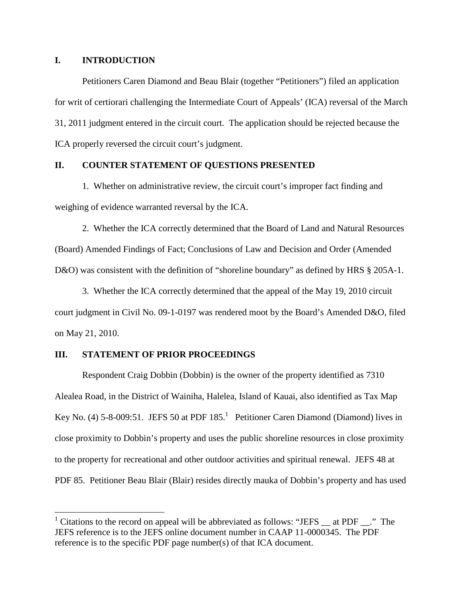### **I. INTRODUCTION**

Petitioners Caren Diamond and Beau Blair (together "Petitioners") filed an application for writ of certiorari challenging the Intermediate Court of Appeals' (ICA) reversal of the March 31, 2011 judgment entered in the circuit court. The application should be rejected because the ICA properly reversed the circuit court's judgment.

## **II. COUNTER STATEMENT OF QUESTIONS PRESENTED**

1. Whether on administrative review, the circuit court's improper fact finding and weighing of evidence warranted reversal by the ICA.

2. Whether the ICA correctly determined that the Board of Land and Natural Resources (Board) Amended Findings of Fact; Conclusions of Law and Decision and Order (Amended D&O) was consistent with the definition of "shoreline boundary" as defined by HRS § 205A-1.

3. Whether the ICA correctly determined that the appeal of the May 19, 2010 circuit court judgment in Civil No. 09-1-0197 was rendered moot by the Board's Amended D&O, filed on May 21, 2010.

#### **III. STATEMENT OF PRIOR PROCEEDINGS**

Respondent Craig Dobbin (Dobbin) is the owner of the property identified as 7310 Alealea Road, in the District of Wainiha, Halelea, Island of Kauai, also identified as Tax Map KeyNo[.](#page-2-0) (4)  $5-8-009:51$ . JEFS 50 at PDF  $185<sup>1</sup>$  Petitioner Caren Diamond (Diamond) lives in close proximity to Dobbin's property and uses the public shoreline resources in close proximity to the property for recreational and other outdoor activities and spiritual renewal. JEFS 48 at PDF 85. Petitioner Beau Blair (Blair) resides directly mauka of Dobbin's property and has used

<span id="page-2-0"></span> $1$  Citations to the record on appeal will be abbreviated as follows: "JEFS  $\_\$ at PDF  $\_\$ ." The JEFS reference is to the JEFS online document number in CAAP 11-0000345. The PDF reference is to the specific PDF page number(s) of that ICA document.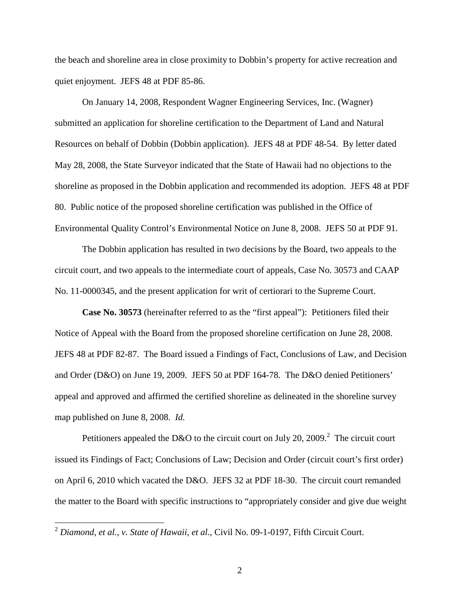the beach and shoreline area in close proximity to Dobbin's property for active recreation and quiet enjoyment. JEFS 48 at PDF 85-86.

On January 14, 2008, Respondent Wagner Engineering Services, Inc. (Wagner) submitted an application for shoreline certification to the Department of Land and Natural Resources on behalf of Dobbin (Dobbin application). JEFS 48 at PDF 48-54. By letter dated May 28, 2008, the State Surveyor indicated that the State of Hawaii had no objections to the shoreline as proposed in the Dobbin application and recommended its adoption. JEFS 48 at PDF 80. Public notice of the proposed shoreline certification was published in the Office of Environmental Quality Control's Environmental Notice on June 8, 2008. JEFS 50 at PDF 91.

The Dobbin application has resulted in two decisions by the Board, two appeals to the circuit court, and two appeals to the intermediate court of appeals, Case No. 30573 and CAAP No. 11-0000345, and the present application for writ of certiorari to the Supreme Court.

**Case No. 30573** (hereinafter referred to as the "first appeal"): Petitioners filed their Notice of Appeal with the Board from the proposed shoreline certification on June 28, 2008. JEFS 48 at PDF 82-87. The Board issued a Findings of Fact, Conclusions of Law, and Decision and Order (D&O) on June 19, 2009. JEFS 50 at PDF 164-78. The D&O denied Petitioners' appeal and approved and affirmed the certified shoreline as delineated in the shoreline survey map published on June 8, 2008. *Id.*

Petitioners appealed the D&O to the circuit court on July [2](#page-3-0)0, 2009.<sup>2</sup> The circuit court issued its Findings of Fact; Conclusions of Law; Decision and Order (circuit court's first order) on April 6, 2010 which vacated the D&O. JEFS 32 at PDF 18-30. The circuit court remanded the matter to the Board with specific instructions to "appropriately consider and give due weight

<span id="page-3-0"></span><sup>2</sup> *Diamond, et al., v. State of Hawaii, et al.,* Civil No. 09-1-0197, Fifth Circuit Court.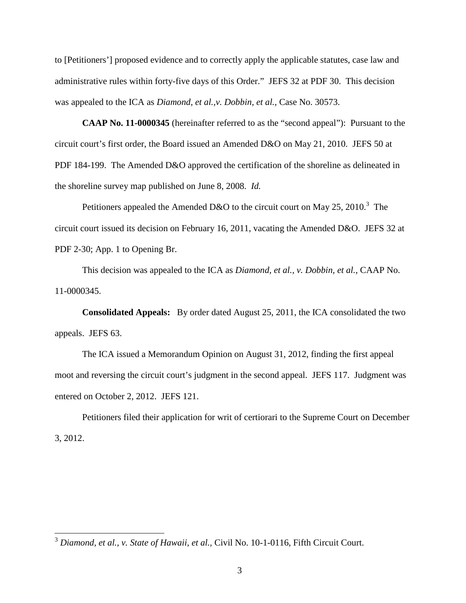to [Petitioners'] proposed evidence and to correctly apply the applicable statutes, case law and administrative rules within forty-five days of this Order." JEFS 32 at PDF 30. This decision was appealed to the ICA as *Diamond, et al.,v. Dobbin, et al.,* Case No. 30573.

**CAAP No. 11-0000345** (hereinafter referred to as the "second appeal"): Pursuant to the circuit court's first order, the Board issued an Amended D&O on May 21, 2010. JEFS 50 at PDF 184-199. The Amended D&O approved the certification of the shoreline as delineated in the shoreline survey map published on June 8, 2008. *Id.*

Petitionersappealed the Amended D&O to the circuit court on May 25, 2010[.](#page-4-0)<sup>3</sup> The circuit court issued its decision on February 16, 2011, vacating the Amended D&O. JEFS 32 at PDF 2-30; App. 1 to Opening Br.

This decision was appealed to the ICA as *Diamond, et al., v. Dobbin, et al.*, CAAP No. 11-0000345.

**Consolidated Appeals:** By order dated August 25, 2011, the ICA consolidated the two appeals. JEFS 63.

The ICA issued a Memorandum Opinion on August 31, 2012, finding the first appeal moot and reversing the circuit court's judgment in the second appeal. JEFS 117. Judgment was entered on October 2, 2012. JEFS 121.

Petitioners filed their application for writ of certiorari to the Supreme Court on December 3, 2012.

<span id="page-4-0"></span><sup>3</sup> *Diamond, et al., v. State of Hawaii, et al.,* Civil No. 10-1-0116, Fifth Circuit Court.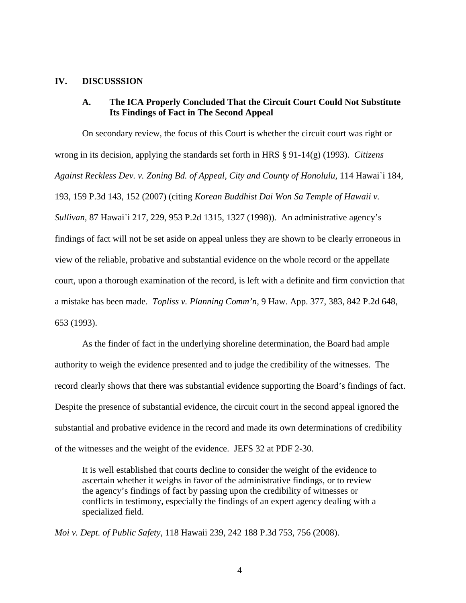#### **IV. DISCUSSSION**

# **A. The ICA Properly Concluded That the Circuit Court Could Not Substitute Its Findings of Fact in The Second Appeal**

On secondary review, the focus of this Court is whether the circuit court was right or wrong in its decision, applying the standards set forth in HRS § 91-14(g) (1993). *Citizens Against Reckless Dev. v. Zoning Bd. of Appeal, City and County of Honolulu*, 114 Hawai`i 184, 193, 159 P.3d 143, 152 (2007) (citing *Korean Buddhist Dai Won Sa Temple of Hawaii v. Sullivan*, 87 Hawai`i 217, 229, 953 P.2d 1315, 1327 (1998)). An administrative agency's findings of fact will not be set aside on appeal unless they are shown to be clearly erroneous in view of the reliable, probative and substantial evidence on the whole record or the appellate court, upon a thorough examination of the record, is left with a definite and firm conviction that a mistake has been made. *Topliss v. Planning Comm'n*, 9 Haw. App. 377, 383, 842 P.2d 648, 653 (1993).

As the finder of fact in the underlying shoreline determination, the Board had ample authority to weigh the evidence presented and to judge the credibility of the witnesses. The record clearly shows that there was substantial evidence supporting the Board's findings of fact. Despite the presence of substantial evidence, the circuit court in the second appeal ignored the substantial and probative evidence in the record and made its own determinations of credibility of the witnesses and the weight of the evidence. JEFS 32 at PDF 2-30.

It is well established that courts decline to consider the weight of the evidence to ascertain whether it weighs in favor of the administrative findings, or to review the agency's findings of fact by passing upon the credibility of witnesses or conflicts in testimony, especially the findings of an expert agency dealing with a specialized field.

*Moi v. Dept. of Public Safety*, 118 Hawaii 239, 242 188 P.3d 753, 756 (2008).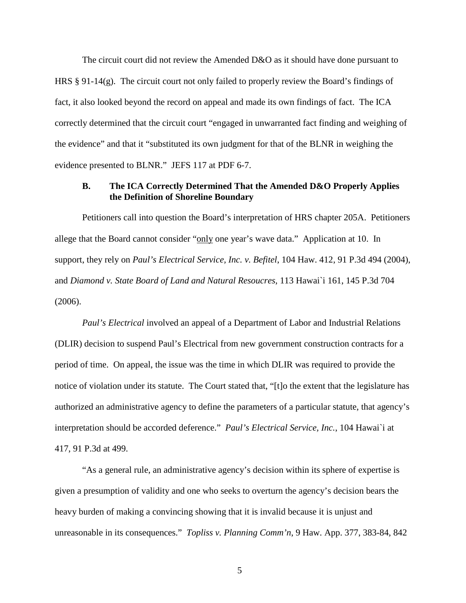The circuit court did not review the Amended D&O as it should have done pursuant to HRS § 91-14(g). The circuit court not only failed to properly review the Board's findings of fact, it also looked beyond the record on appeal and made its own findings of fact. The ICA correctly determined that the circuit court "engaged in unwarranted fact finding and weighing of the evidence" and that it "substituted its own judgment for that of the BLNR in weighing the evidence presented to BLNR." JEFS 117 at PDF 6-7.

## **B. The ICA Correctly Determined That the Amended D&O Properly Applies the Definition of Shoreline Boundary**

Petitioners call into question the Board's interpretation of HRS chapter 205A. Petitioners allege that the Board cannot consider "only one year's wave data." Application at 10. In support, they rely on *Paul's Electrical Service, Inc. v. Befitel*, 104 Haw. 412, 91 P.3d 494 (2004), and *Diamond v. State Board of Land and Natural Resoucres*, 113 Hawai`i 161, 145 P.3d 704 (2006).

*Paul's Electrical* involved an appeal of a Department of Labor and Industrial Relations (DLIR) decision to suspend Paul's Electrical from new government construction contracts for a period of time. On appeal, the issue was the time in which DLIR was required to provide the notice of violation under its statute. The Court stated that, "[t]o the extent that the legislature has authorized an administrative agency to define the parameters of a particular statute, that agency's interpretation should be accorded deference." *Paul's Electrical Service, Inc.*, 104 Hawai`i at 417, 91 P.3d at 499.

"As a general rule, an administrative agency's decision within its sphere of expertise is given a presumption of validity and one who seeks to overturn the agency's decision bears the heavy burden of making a convincing showing that it is invalid because it is unjust and unreasonable in its consequences." *Topliss v. Planning Comm'n*, 9 Haw. App. 377, 383-84, 842

5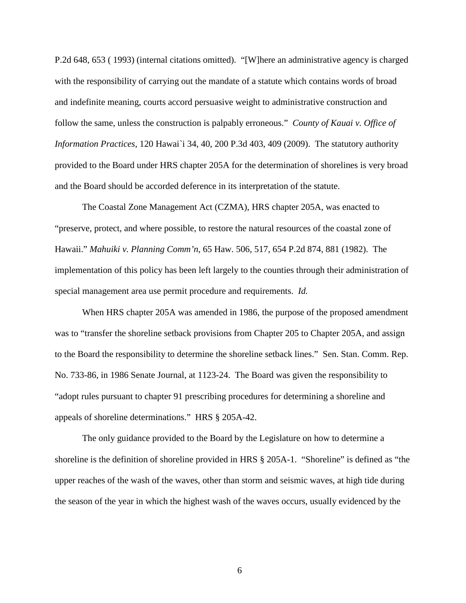P.2d 648, 653 ( 1993) (internal citations omitted). "[W]here an administrative agency is charged with the responsibility of carrying out the mandate of a statute which contains words of broad and indefinite meaning, courts accord persuasive weight to administrative construction and follow the same, unless the construction is palpably erroneous." *County of Kauai v. Office of Information Practices*, 120 Hawai`i 34, 40, 200 P.3d 403, 409 (2009). The statutory authority provided to the Board under HRS chapter 205A for the determination of shorelines is very broad and the Board should be accorded deference in its interpretation of the statute.

The Coastal Zone Management Act (CZMA), HRS chapter 205A, was enacted to "preserve, protect, and where possible, to restore the natural resources of the coastal zone of Hawaii." *Mahuiki v. Planning Comm'n*, 65 Haw. 506, 517, 654 P.2d 874, 881 (1982). The implementation of this policy has been left largely to the counties through their administration of special management area use permit procedure and requirements. *Id.*

When HRS chapter 205A was amended in 1986, the purpose of the proposed amendment was to "transfer the shoreline setback provisions from Chapter 205 to Chapter 205A, and assign to the Board the responsibility to determine the shoreline setback lines." Sen. Stan. Comm. Rep. No. 733-86, in 1986 Senate Journal, at 1123-24. The Board was given the responsibility to "adopt rules pursuant to chapter 91 prescribing procedures for determining a shoreline and appeals of shoreline determinations." HRS § 205A-42.

The only guidance provided to the Board by the Legislature on how to determine a shoreline is the definition of shoreline provided in HRS § 205A-1. "Shoreline" is defined as "the upper reaches of the wash of the waves, other than storm and seismic waves, at high tide during the season of the year in which the highest wash of the waves occurs, usually evidenced by the

6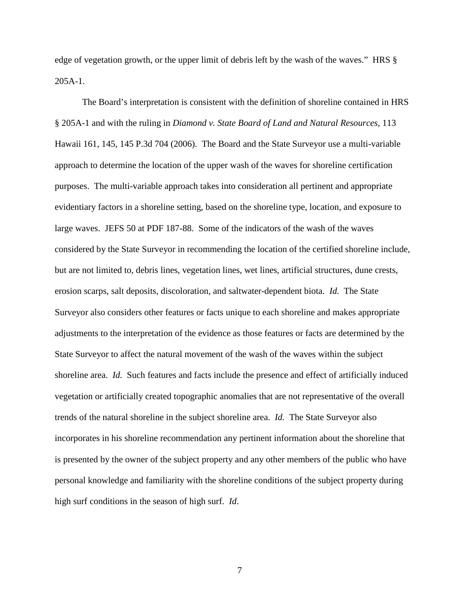edge of vegetation growth, or the upper limit of debris left by the wash of the waves." HRS § 205A-1.

The Board's interpretation is consistent with the definition of shoreline contained in HRS § 205A-1 and with the ruling in *Diamond v. State Board of Land and Natural Resources*, 113 Hawaii 161, 145, 145 P.3d 704 (2006). The Board and the State Surveyor use a multi-variable approach to determine the location of the upper wash of the waves for shoreline certification purposes. The multi-variable approach takes into consideration all pertinent and appropriate evidentiary factors in a shoreline setting, based on the shoreline type, location, and exposure to large waves. JEFS 50 at PDF 187-88. Some of the indicators of the wash of the waves considered by the State Surveyor in recommending the location of the certified shoreline include, but are not limited to, debris lines, vegetation lines, wet lines, artificial structures, dune crests, erosion scarps, salt deposits, discoloration, and saltwater-dependent biota. *Id.* The State Surveyor also considers other features or facts unique to each shoreline and makes appropriate adjustments to the interpretation of the evidence as those features or facts are determined by the State Surveyor to affect the natural movement of the wash of the waves within the subject shoreline area. *Id.* Such features and facts include the presence and effect of artificially induced vegetation or artificially created topographic anomalies that are not representative of the overall trends of the natural shoreline in the subject shoreline area. *Id.* The State Surveyor also incorporates in his shoreline recommendation any pertinent information about the shoreline that is presented by the owner of the subject property and any other members of the public who have personal knowledge and familiarity with the shoreline conditions of the subject property during high surf conditions in the season of high surf. *Id*.

7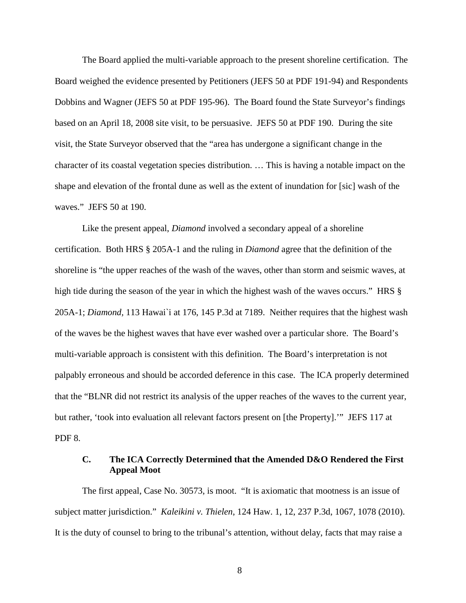The Board applied the multi-variable approach to the present shoreline certification. The Board weighed the evidence presented by Petitioners (JEFS 50 at PDF 191-94) and Respondents Dobbins and Wagner (JEFS 50 at PDF 195-96). The Board found the State Surveyor's findings based on an April 18, 2008 site visit, to be persuasive. JEFS 50 at PDF 190. During the site visit, the State Surveyor observed that the "area has undergone a significant change in the character of its coastal vegetation species distribution. … This is having a notable impact on the shape and elevation of the frontal dune as well as the extent of inundation for [sic] wash of the waves." JEFS 50 at 190.

Like the present appeal, *Diamond* involved a secondary appeal of a shoreline certification. Both HRS § 205A-1 and the ruling in *Diamond* agree that the definition of the shoreline is "the upper reaches of the wash of the waves, other than storm and seismic waves, at high tide during the season of the year in which the highest wash of the waves occurs." HRS § 205A-1; *Diamond,* 113 Hawai`i at 176, 145 P.3d at 7189. Neither requires that the highest wash of the waves be the highest waves that have ever washed over a particular shore. The Board's multi-variable approach is consistent with this definition. The Board's interpretation is not palpably erroneous and should be accorded deference in this case. The ICA properly determined that the "BLNR did not restrict its analysis of the upper reaches of the waves to the current year, but rather, 'took into evaluation all relevant factors present on [the Property].'" JEFS 117 at PDF 8.

## **C. The ICA Correctly Determined that the Amended D&O Rendered the First Appeal Moot**

The first appeal, Case No. 30573, is moot. "It is axiomatic that mootness is an issue of subject matter jurisdiction." *Kaleikini v. Thielen*, 124 Haw. 1, 12, 237 P.3d, 1067, 1078 (2010). It is the duty of counsel to bring to the tribunal's attention, without delay, facts that may raise a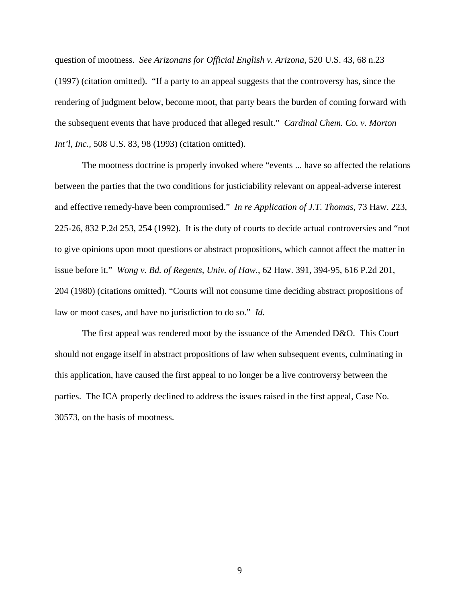question of mootness. *See Arizonans for Official English v. Arizona*, 520 U.S. 43, 68 n.23 (1997) (citation omitted). "If a party to an appeal suggests that the controversy has, since the rendering of judgment below, become moot, that party bears the burden of coming forward with the subsequent events that have produced that alleged result." *Cardinal Chem. Co. v. Morton Int'l, Inc.,* 508 U.S. 83, 98 (1993) (citation omitted).

The mootness doctrine is properly invoked where "events ... have so affected the relations between the parties that the two conditions for justiciability relevant on appeal-adverse interest and effective remedy-have been compromised." *In re Application of J.T. Thomas*, 73 Haw. 223, 225-26, 832 P.2d 253, 254 (1992). It is the duty of courts to decide actual controversies and "not to give opinions upon moot questions or abstract propositions, which cannot affect the matter in issue before it." *Wong v. Bd. of Regents, Univ. of Haw.*, 62 Haw. 391, 394-95, 616 P.2d 201, 204 (1980) (citations omitted). "Courts will not consume time deciding abstract propositions of law or moot cases, and have no jurisdiction to do so." *Id.*

The first appeal was rendered moot by the issuance of the Amended D&O. This Court should not engage itself in abstract propositions of law when subsequent events, culminating in this application, have caused the first appeal to no longer be a live controversy between the parties. The ICA properly declined to address the issues raised in the first appeal, Case No. 30573, on the basis of mootness.